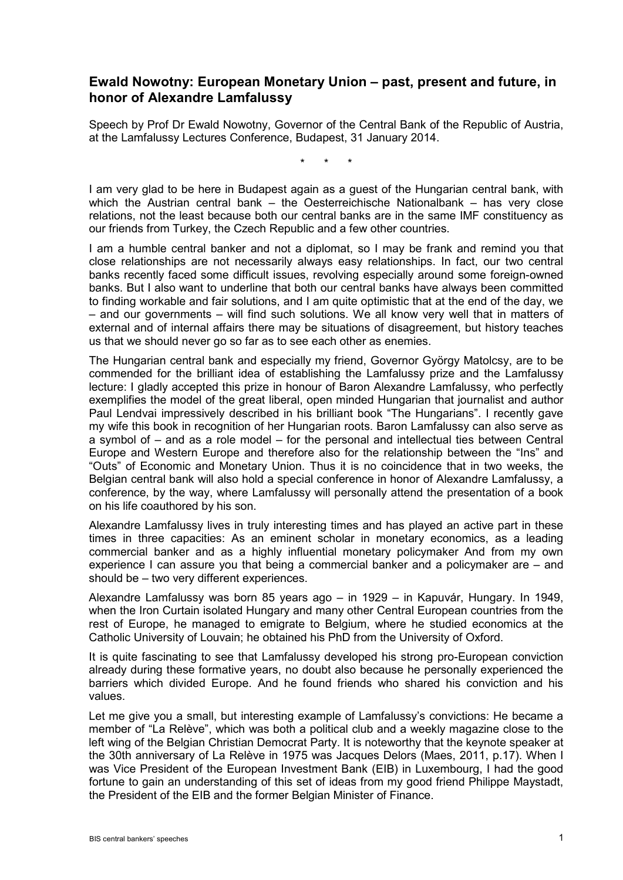## **Ewald Nowotny: European Monetary Union – past, present and future, in honor of Alexandre Lamfalussy**

Speech by Prof Dr Ewald Nowotny, Governor of the Central Bank of the Republic of Austria, at the Lamfalussy Lectures Conference, Budapest, 31 January 2014.

\* \* \*

I am very glad to be here in Budapest again as a guest of the Hungarian central bank, with which the Austrian central bank  $-$  the Oesterreichische Nationalbank  $-$  has very close relations, not the least because both our central banks are in the same IMF constituency as our friends from Turkey, the Czech Republic and a few other countries.

I am a humble central banker and not a diplomat, so I may be frank and remind you that close relationships are not necessarily always easy relationships. In fact, our two central banks recently faced some difficult issues, revolving especially around some foreign-owned banks. But I also want to underline that both our central banks have always been committed to finding workable and fair solutions, and I am quite optimistic that at the end of the day, we – and our governments – will find such solutions. We all know very well that in matters of external and of internal affairs there may be situations of disagreement, but history teaches us that we should never go so far as to see each other as enemies.

The Hungarian central bank and especially my friend, Governor György Matolcsy, are to be commended for the brilliant idea of establishing the Lamfalussy prize and the Lamfalussy lecture: I gladly accepted this prize in honour of Baron Alexandre Lamfalussy, who perfectly exemplifies the model of the great liberal, open minded Hungarian that journalist and author Paul Lendvai impressively described in his brilliant book "The Hungarians". I recently gave my wife this book in recognition of her Hungarian roots. Baron Lamfalussy can also serve as a symbol of – and as a role model – for the personal and intellectual ties between Central Europe and Western Europe and therefore also for the relationship between the "Ins" and "Outs" of Economic and Monetary Union. Thus it is no coincidence that in two weeks, the Belgian central bank will also hold a special conference in honor of Alexandre Lamfalussy, a conference, by the way, where Lamfalussy will personally attend the presentation of a book on his life coauthored by his son.

Alexandre Lamfalussy lives in truly interesting times and has played an active part in these times in three capacities: As an eminent scholar in monetary economics, as a leading commercial banker and as a highly influential monetary policymaker And from my own experience I can assure you that being a commercial banker and a policymaker are – and should be – two very different experiences.

Alexandre Lamfalussy was born 85 years ago – in 1929 – in Kapuvár, Hungary. In 1949, when the Iron Curtain isolated Hungary and many other Central European countries from the rest of Europe, he managed to emigrate to Belgium, where he studied economics at the Catholic University of Louvain; he obtained his PhD from the University of Oxford.

It is quite fascinating to see that Lamfalussy developed his strong pro-European conviction already during these formative years, no doubt also because he personally experienced the barriers which divided Europe. And he found friends who shared his conviction and his values.

Let me give you a small, but interesting example of Lamfalussy's convictions: He became a member of "La Relève", which was both a political club and a weekly magazine close to the left wing of the Belgian Christian Democrat Party. It is noteworthy that the keynote speaker at the 30th anniversary of La Relève in 1975 was Jacques Delors (Maes, 2011, p.17). When I was Vice President of the European Investment Bank (EIB) in Luxembourg, I had the good fortune to gain an understanding of this set of ideas from my good friend Philippe Maystadt, the President of the EIB and the former Belgian Minister of Finance.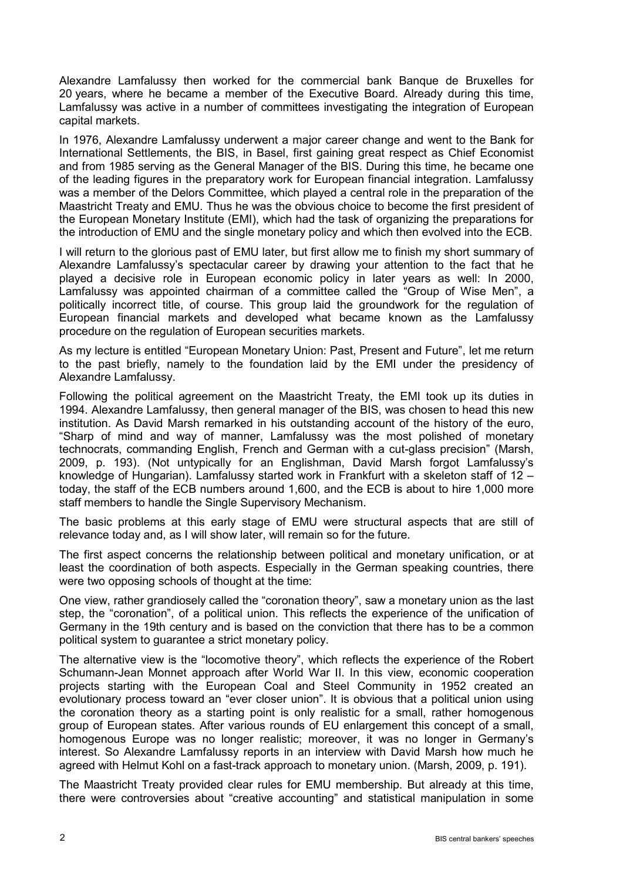Alexandre Lamfalussy then worked for the commercial bank Banque de Bruxelles for 20 years, where he became a member of the Executive Board. Already during this time, Lamfalussy was active in a number of committees investigating the integration of European capital markets.

In 1976, Alexandre Lamfalussy underwent a major career change and went to the Bank for International Settlements, the BIS, in Basel, first gaining great respect as Chief Economist and from 1985 serving as the General Manager of the BIS. During this time, he became one of the leading figures in the preparatory work for European financial integration. Lamfalussy was a member of the Delors Committee, which played a central role in the preparation of the Maastricht Treaty and EMU. Thus he was the obvious choice to become the first president of the European Monetary Institute (EMI), which had the task of organizing the preparations for the introduction of EMU and the single monetary policy and which then evolved into the ECB.

I will return to the glorious past of EMU later, but first allow me to finish my short summary of Alexandre Lamfalussy's spectacular career by drawing your attention to the fact that he played a decisive role in European economic policy in later years as well: In 2000, Lamfalussy was appointed chairman of a committee called the "Group of Wise Men", a politically incorrect title, of course. This group laid the groundwork for the regulation of European financial markets and developed what became known as the Lamfalussy procedure on the regulation of European securities markets.

As my lecture is entitled "European Monetary Union: Past, Present and Future", let me return to the past briefly, namely to the foundation laid by the EMI under the presidency of Alexandre Lamfalussy.

Following the political agreement on the Maastricht Treaty, the EMI took up its duties in 1994. Alexandre Lamfalussy, then general manager of the BIS, was chosen to head this new institution. As David Marsh remarked in his outstanding account of the history of the euro, "Sharp of mind and way of manner, Lamfalussy was the most polished of monetary technocrats, commanding English, French and German with a cut-glass precision" (Marsh, 2009, p. 193). (Not untypically for an Englishman, David Marsh forgot Lamfalussy's knowledge of Hungarian). Lamfalussy started work in Frankfurt with a skeleton staff of 12 – today, the staff of the ECB numbers around 1,600, and the ECB is about to hire 1,000 more staff members to handle the Single Supervisory Mechanism.

The basic problems at this early stage of EMU were structural aspects that are still of relevance today and, as I will show later, will remain so for the future.

The first aspect concerns the relationship between political and monetary unification, or at least the coordination of both aspects. Especially in the German speaking countries, there were two opposing schools of thought at the time:

One view, rather grandiosely called the "coronation theory", saw a monetary union as the last step, the "coronation", of a political union. This reflects the experience of the unification of Germany in the 19th century and is based on the conviction that there has to be a common political system to guarantee a strict monetary policy.

The alternative view is the "locomotive theory", which reflects the experience of the Robert Schumann-Jean Monnet approach after World War II. In this view, economic cooperation projects starting with the European Coal and Steel Community in 1952 created an evolutionary process toward an "ever closer union". It is obvious that a political union using the coronation theory as a starting point is only realistic for a small, rather homogenous group of European states. After various rounds of EU enlargement this concept of a small, homogenous Europe was no longer realistic; moreover, it was no longer in Germany's interest. So Alexandre Lamfalussy reports in an interview with David Marsh how much he agreed with Helmut Kohl on a fast-track approach to monetary union. (Marsh, 2009, p. 191).

The Maastricht Treaty provided clear rules for EMU membership. But already at this time, there were controversies about "creative accounting" and statistical manipulation in some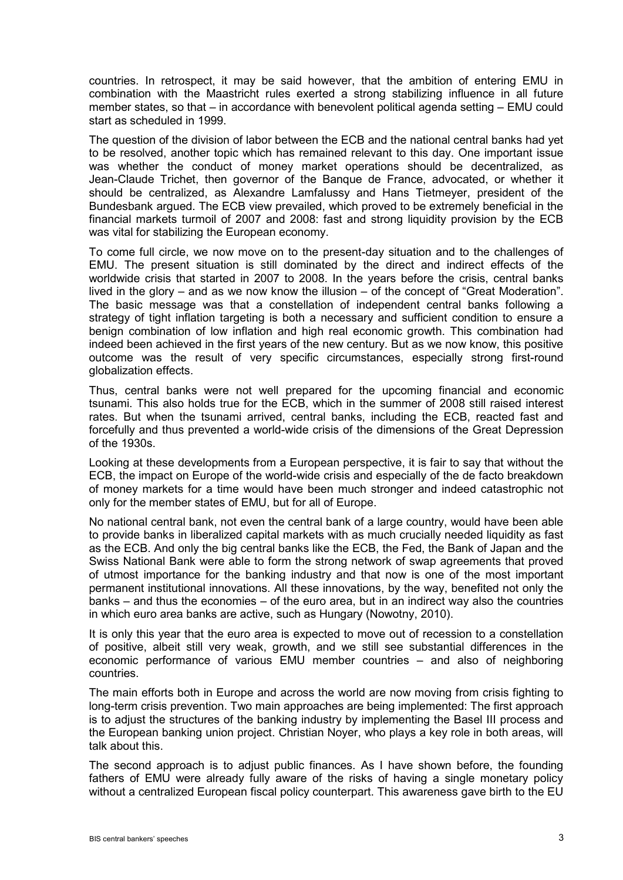countries. In retrospect, it may be said however, that the ambition of entering EMU in combination with the Maastricht rules exerted a strong stabilizing influence in all future member states, so that – in accordance with benevolent political agenda setting – EMU could start as scheduled in 1999.

The question of the division of labor between the ECB and the national central banks had yet to be resolved, another topic which has remained relevant to this day. One important issue was whether the conduct of money market operations should be decentralized, as Jean-Claude Trichet, then governor of the Banque de France, advocated, or whether it should be centralized, as Alexandre Lamfalussy and Hans Tietmeyer, president of the Bundesbank argued. The ECB view prevailed, which proved to be extremely beneficial in the financial markets turmoil of 2007 and 2008: fast and strong liquidity provision by the ECB was vital for stabilizing the European economy.

To come full circle, we now move on to the present-day situation and to the challenges of EMU. The present situation is still dominated by the direct and indirect effects of the worldwide crisis that started in 2007 to 2008. In the years before the crisis, central banks lived in the glory – and as we now know the illusion – of the concept of "Great Moderation". The basic message was that a constellation of independent central banks following a strategy of tight inflation targeting is both a necessary and sufficient condition to ensure a benign combination of low inflation and high real economic growth. This combination had indeed been achieved in the first years of the new century. But as we now know, this positive outcome was the result of very specific circumstances, especially strong first-round globalization effects.

Thus, central banks were not well prepared for the upcoming financial and economic tsunami. This also holds true for the ECB, which in the summer of 2008 still raised interest rates. But when the tsunami arrived, central banks, including the ECB, reacted fast and forcefully and thus prevented a world-wide crisis of the dimensions of the Great Depression of the 1930s.

Looking at these developments from a European perspective, it is fair to say that without the ECB, the impact on Europe of the world-wide crisis and especially of the de facto breakdown of money markets for a time would have been much stronger and indeed catastrophic not only for the member states of EMU, but for all of Europe.

No national central bank, not even the central bank of a large country, would have been able to provide banks in liberalized capital markets with as much crucially needed liquidity as fast as the ECB. And only the big central banks like the ECB, the Fed, the Bank of Japan and the Swiss National Bank were able to form the strong network of swap agreements that proved of utmost importance for the banking industry and that now is one of the most important permanent institutional innovations. All these innovations, by the way, benefited not only the banks – and thus the economies – of the euro area, but in an indirect way also the countries in which euro area banks are active, such as Hungary (Nowotny, 2010).

It is only this year that the euro area is expected to move out of recession to a constellation of positive, albeit still very weak, growth, and we still see substantial differences in the economic performance of various EMU member countries – and also of neighboring countries.

The main efforts both in Europe and across the world are now moving from crisis fighting to long-term crisis prevention. Two main approaches are being implemented: The first approach is to adjust the structures of the banking industry by implementing the Basel III process and the European banking union project. Christian Noyer, who plays a key role in both areas, will talk about this.

The second approach is to adjust public finances. As I have shown before, the founding fathers of EMU were already fully aware of the risks of having a single monetary policy without a centralized European fiscal policy counterpart. This awareness gave birth to the EU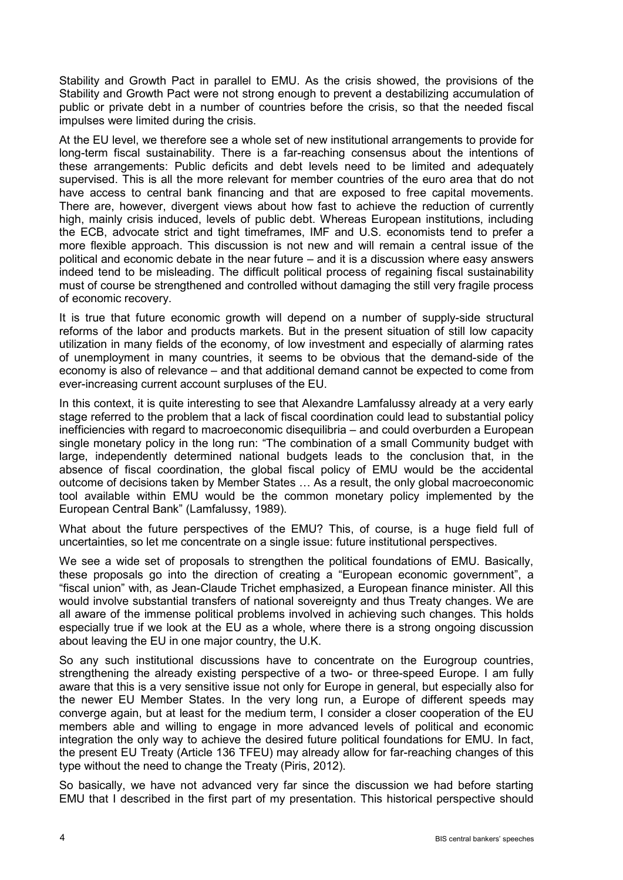Stability and Growth Pact in parallel to EMU. As the crisis showed, the provisions of the Stability and Growth Pact were not strong enough to prevent a destabilizing accumulation of public or private debt in a number of countries before the crisis, so that the needed fiscal impulses were limited during the crisis.

At the EU level, we therefore see a whole set of new institutional arrangements to provide for long-term fiscal sustainability. There is a far-reaching consensus about the intentions of these arrangements: Public deficits and debt levels need to be limited and adequately supervised. This is all the more relevant for member countries of the euro area that do not have access to central bank financing and that are exposed to free capital movements. There are, however, divergent views about how fast to achieve the reduction of currently high, mainly crisis induced, levels of public debt. Whereas European institutions, including the ECB, advocate strict and tight timeframes, IMF and U.S. economists tend to prefer a more flexible approach. This discussion is not new and will remain a central issue of the political and economic debate in the near future – and it is a discussion where easy answers indeed tend to be misleading. The difficult political process of regaining fiscal sustainability must of course be strengthened and controlled without damaging the still very fragile process of economic recovery.

It is true that future economic growth will depend on a number of supply-side structural reforms of the labor and products markets. But in the present situation of still low capacity utilization in many fields of the economy, of low investment and especially of alarming rates of unemployment in many countries, it seems to be obvious that the demand-side of the economy is also of relevance – and that additional demand cannot be expected to come from ever-increasing current account surpluses of the EU.

In this context, it is quite interesting to see that Alexandre Lamfalussy already at a very early stage referred to the problem that a lack of fiscal coordination could lead to substantial policy inefficiencies with regard to macroeconomic disequilibria – and could overburden a European single monetary policy in the long run: "The combination of a small Community budget with large, independently determined national budgets leads to the conclusion that, in the absence of fiscal coordination, the global fiscal policy of EMU would be the accidental outcome of decisions taken by Member States … As a result, the only global macroeconomic tool available within EMU would be the common monetary policy implemented by the European Central Bank" (Lamfalussy, 1989).

What about the future perspectives of the EMU? This, of course, is a huge field full of uncertainties, so let me concentrate on a single issue: future institutional perspectives.

We see a wide set of proposals to strengthen the political foundations of EMU. Basically, these proposals go into the direction of creating a "European economic government", a "fiscal union" with, as Jean-Claude Trichet emphasized, a European finance minister. All this would involve substantial transfers of national sovereignty and thus Treaty changes. We are all aware of the immense political problems involved in achieving such changes. This holds especially true if we look at the EU as a whole, where there is a strong ongoing discussion about leaving the EU in one major country, the U.K.

So any such institutional discussions have to concentrate on the Eurogroup countries, strengthening the already existing perspective of a two- or three-speed Europe. I am fully aware that this is a very sensitive issue not only for Europe in general, but especially also for the newer EU Member States. In the very long run, a Europe of different speeds may converge again, but at least for the medium term, I consider a closer cooperation of the EU members able and willing to engage in more advanced levels of political and economic integration the only way to achieve the desired future political foundations for EMU. In fact, the present EU Treaty (Article 136 TFEU) may already allow for far-reaching changes of this type without the need to change the Treaty (Piris, 2012).

So basically, we have not advanced very far since the discussion we had before starting EMU that I described in the first part of my presentation. This historical perspective should